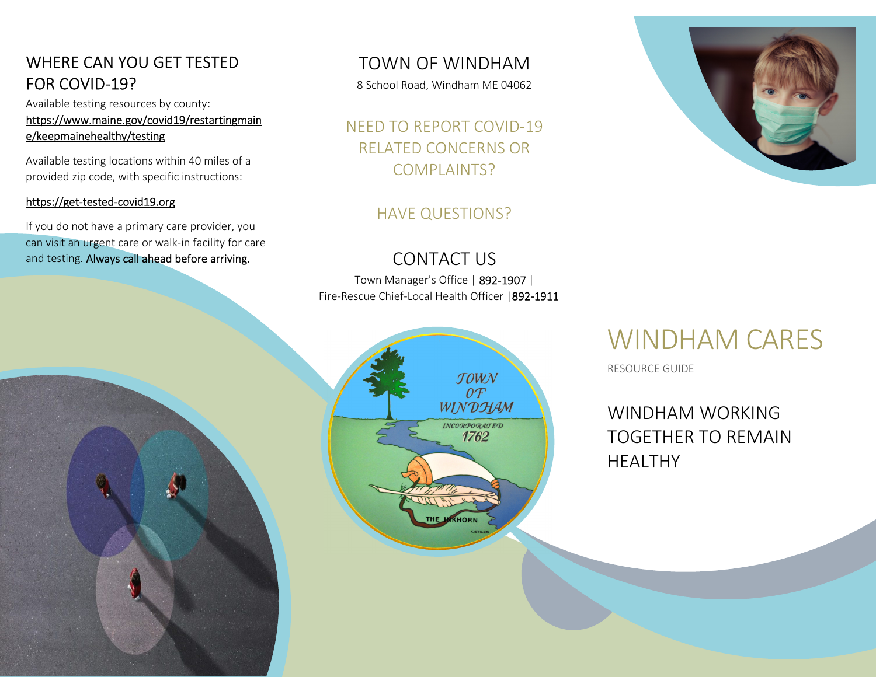# WHERE CAN YOU GET TESTED FOR COVID-19?

Available testing resources by county: https://www.maine.gov/covid19/restartingmaine/keepmainehealthy/testing<br>Available testing locations within 40 miles of a

provided zip code, with specific instructions:

https://get-tested-covid19.org<br>If you do not have a primary care provider, you can visit an urgent care or walk-in facility for care and testing. Always call ahead before arriving.

# TOWN OF WINDHAM

8 School Road, Windham ME 04062

NEED TO REPORT COVID-19 RELATED CONCERNS OR COMPLAINTS?

### HAVE QUESTIONS?

# CONTACT US

Town Manager's Office | 892-1907 | Fire-Rescue Chief-Local Health Officer |892-1911





# WINDHAM CARES

RESOURCE GUIDE

WINDHAM WORKING TOGETHER TO REMAIN HEALTHY